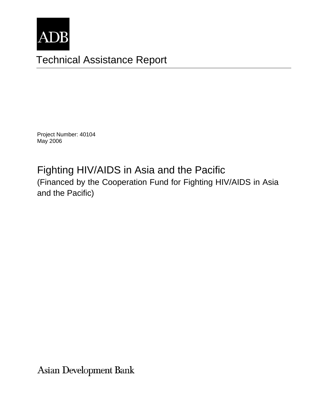

# Technical Assistance Report

Project Number: 40104 May 2006

# Fighting HIV/AIDS in Asia and the Pacific (Financed by the Cooperation Fund for Fighting HIV/AIDS in Asia and the Pacific)

Asian Development Bank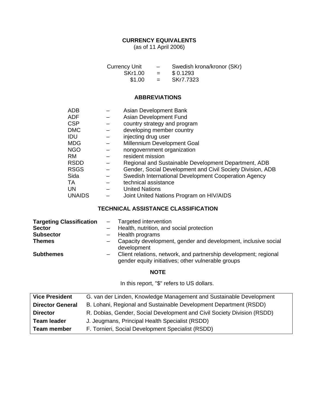# **CURRENCY EQUIVALENTS**

(as of 11 April 2006)

| <b>Currency Unit</b> | $\overline{\phantom{0}}$ | Swedish krona/kronor (SKr) |
|----------------------|--------------------------|----------------------------|
| SKr1.00              | $=$                      | \$0.1293                   |
| \$1.00               | $=$                      | SKr7.7323                  |

# **ABBREVIATIONS**

| Asian Development Bank                                     |
|------------------------------------------------------------|
| Asian Development Fund                                     |
| country strategy and program                               |
| developing member country                                  |
| injecting drug user                                        |
| Millennium Development Goal                                |
| nongovernment organization                                 |
| resident mission                                           |
| Regional and Sustainable Development Department, ADB       |
| Gender, Social Development and Civil Society Division, ADB |
| Swedish International Development Cooperation Agency       |
| technical assistance                                       |
| <b>United Nations</b>                                      |
| Joint United Nations Program on HIV/AIDS                   |
|                                                            |

# **TECHNICAL ASSISTANCE CLASSIFICATION**

| <b>Targeting Classification</b> | - Targeted intervention                                                                                                  |
|---------------------------------|--------------------------------------------------------------------------------------------------------------------------|
| <b>Sector</b>                   | - Health, nutrition, and social protection                                                                               |
| <b>Subsector</b>                | $-$ Health programs                                                                                                      |
| <b>Themes</b>                   | - Capacity development, gender and development, inclusive social<br>development                                          |
| <b>Subthemes</b>                | - Client relations, network, and partnership development; regional<br>gender equity initiatives; other vulnerable groups |

#### **NOTE**

In this report, "\$" refers to US dollars.

| <b>Vice President</b>   | G. van der Linden, Knowledge Management and Sustainable Development     |
|-------------------------|-------------------------------------------------------------------------|
| <b>Director General</b> | B. Lohani, Regional and Sustainable Development Department (RSDD)       |
| <b>Director</b>         | R. Dobias, Gender, Social Development and Civil Society Division (RSDD) |
| <b>Team leader</b>      | J. Jeugmans, Principal Health Specialist (RSDD)                         |
| <b>Team member</b>      | F. Tornieri, Social Development Specialist (RSDD)                       |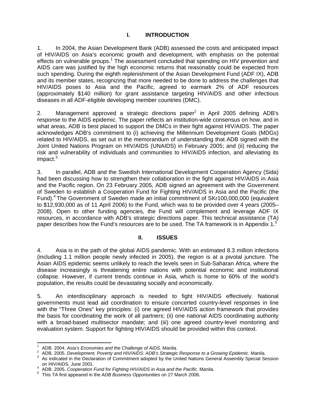#### **I. INTRODUCTION**

1. In 2004, the Asian Development Bank (ADB) assessed the costs and anticipated impact of HIV/AIDS on Asia's economic growth and development, with emphasis on the potential effects on vulnerable groups.<sup>1</sup> The assessment concluded that spending on HIV prevention and AIDS care was justified by the high economic returns that reasonably could be expected from such spending. During the eighth replenishment of the Asian Development Fund (ADF IX), ADB and its member states, recognizing that more needed to be done to address the challenges that HIV/AIDS poses to Asia and the Pacific, agreed to earmark 2% of ADF resources (approximately \$140 million) for grant assistance targeting HIV/AIDS and other infectious diseases in all ADF-eligible developing member countries (DMC).

2. Management approved a strategic directions paper $^2$  in April 2005 defining ADB's response to the AIDS epidemic. The paper reflects an institution-wide consensus on how, and in what areas, ADB is best placed to support the DMCs in their fight against HIV/AIDS. The paper acknowledges ADB's commitment to (i) achieving the Millennium Development Goals (MDGs) related to HIV/AIDS, as set out in the memorandum of understanding that ADB signed with the Joint United Nations Program on HIV/AIDS (UNAIDS) in February 2005; and (ii) reducing the risk and vulnerability of individuals and communities to HIV/AIDS infection, and alleviating its impact.<sup>3</sup>

3. In parallel, ADB and the Swedish International Development Cooperation Agency (Sida) had been discussing how to strengthen their collaboration in the fight against HIV/AIDS in Asia and the Pacific region. On 23 February 2005, ADB signed an agreement with the Government of Sweden to establish a Cooperation Fund for Fighting HIV/AIDS in Asia and the Pacific (the Fund).<sup>4</sup> The Government of Sweden made an initial commitment of SKr100,000,000 (equivalent to \$12,930,000 as of 11 April 2006) to the Fund, which was to be provided over 4 years (2005– 2008). Open to other funding agencies, the Fund will complement and leverage ADF IX resources, in accordance with ADB's strategic directions paper. This technical assistance (TA) paper describes how the Fund's resources are to be used. The TA framework is in Appendix 1. $5$ 

#### **II. ISSUES**

4. Asia is in the path of the global AIDS pandemic. With an estimated 8.3 million infections (including 1.1 million people newly infected in 2005), the region is at a pivotal juncture. The Asian AIDS epidemic seems unlikely to reach the levels seen in Sub-Saharan Africa, where the disease increasingly is threatening entire nations with potential economic and institutional collapse. However, if current trends continue in Asia, which is home to 60% of the world's population, the results could be devastating socially and economically.

5. An interdisciplinary approach is needed to fight HIV/AIDS effectively. National governments must lead aid coordination to ensure concerted country-level responses in line with the "Three Ones" key principles: (i) one agreed HIV/AIDS action framework that provides the basis for coordinating the work of all partners; (ii) one national AIDS coordinating authority with a broad-based multisector mandate; and (iii) one agreed country-level monitoring and evaluation system. Support for fighting HIV/AIDS should be provided within this context.

 $\overline{a}$ 

<sup>1</sup> ADB. 2004. *Asia's Economies and the Challenge of AIDS.* Manila. 2

ADB. 2005. *Development, Poverty and HIV/AIDS: ADB's Strategic Response to a Growing Epidemic.* Manila. 3

<sup>&</sup>lt;sup>3</sup> As indicated in the Declaration of Commitment adopted by the United Nations General Assembly Special Session on HIV/AIDS, June 2001. 4

<sup>&</sup>lt;sup>4</sup> ADB. 2005. Cooperation Fund for Fighting HIV/AIDS in Asia and the Pacific. Manila.

This TA first appeared in the *ADB Business Opportunities* on 27 March 2006.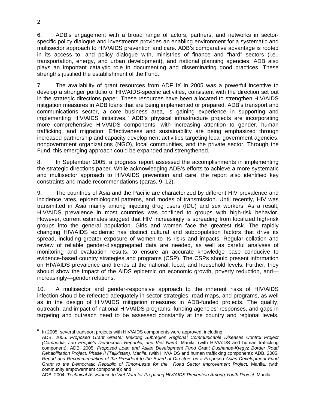6. ADB's engagement with a broad range of actors, partners, and networks in sectorspecific policy dialogue and investments provides an enabling environment for a systematic and multisector approach to HIV/AIDS prevention and care. ADB's comparative advantage is rooted in its access to, and policy dialogue with, ministries of finance and "hard" sectors (i.e., transportation, energy, and urban development), and national planning agencies. ADB also plays an important catalytic role in documenting and disseminating good practices. These strengths justified the establishment of the Fund.

7. The availability of grant resources from ADF IX in 2005 was a powerful incentive to develop a stronger portfolio of HIV/AIDS-specific activities, consistent with the direction set out in the strategic directions paper. These resources have been allocated to strengthen HIV/AIDS mitigation measures in ADB loans that are being implemented or prepared. ADB's transport and communications sector, a core business area, is gaining experience in supporting and implementing HIV/AIDS initiatives.<sup>6</sup> ADB's physical infrastructure projects are incorporating more comprehensive HIV/AIDS components, with increasing attention to gender, human trafficking, and migration. Effectiveness and sustainability are being emphasized through increased partnership and capacity development activities targeting local government agencies, nongovernment organizations (NGO), local communities, and the private sector. Through the Fund, this emerging approach could be expanded and strengthened.

8. In September 2005, a progress report assessed the accomplishments in implementing the strategic directions paper. While acknowledging ADB's efforts to achieve a more systematic and multisector approach to HIV/AIDS prevention and care, the report also identified key constraints and made recommendations (paras. 9–12).

9. The countries of Asia and the Pacific are characterized by different HIV prevalence and incidence rates, epidemiological patterns, and modes of transmission. Until recently, HIV was transmitted in Asia mainly among injecting drug users (IDU) and sex workers. As a result, HIV/AIDS prevalence in most countries was confined to groups with high-risk behavior. However, current estimates suggest that HIV increasingly is spreading from localized high-risk groups into the general population. Girls and women face the greatest risk. The rapidly changing HIV/AIDS epidemic has distinct cultural and subpopulation factors that drive its spread, including greater exposure of women to its risks and impacts. Regular collation and review of reliable gender-disaggregated data are needed, as well as careful analyses of monitoring and evaluation results, to ensure an accurate knowledge base conducive to evidence-based country strategies and programs (CSP). The CSPs should present information on HIV/AIDS prevalence and trends at the national, local, and household levels. Further, they should show the impact of the AIDS epidemic on economic growth, poverty reduction, and increasingly—gender relations.

10. A multisector and gender-responsive approach to the inherent risks of HIV/AIDS infection should be reflected adequately in sector strategies, road maps, and programs, as well as in the design of HIV/AIDS mitigation measures in ADB-funded projects. The quality, outreach, and impact of national HIV/AIDS programs, funding agencies' responses, and gaps in targeting and outreach need to be assessed constantly at the country and regional levels.

<sup>—&</sup>lt;br>6 In 2005, several transport projects with HIV/AIDS components were approved, including:

ADB. 2005. *Proposed Grant Greater Mekong Subregion Regional Communicable Diseases Control Project (Cambodia, Lao People's Democratic Republic, and Viet Nam)*. Manila. (with HIV/AIDS and human trafficking component); ADB. 2005. *Proposed Loan and Asian Development Fund Grant Dushanbe-Kyrgyz Border Road Rehabilitation Project, Phase II (Tajikistan). Manila.* (with HIV/AIDS and human trafficking component); ADB. 2005. *Report and Recommendation of the President to the Board of Directors on a Proposed Asian Development Fund Grant to the Democratic Republic of Timor-Leste for the Road Sector Improvement Project.* Manila. (with community empowerment component); and

ADB. 2004. *Technical Assistance to Viet Nam for Preparing HIV/AIDS Prevention Among Youth Project*. Manila.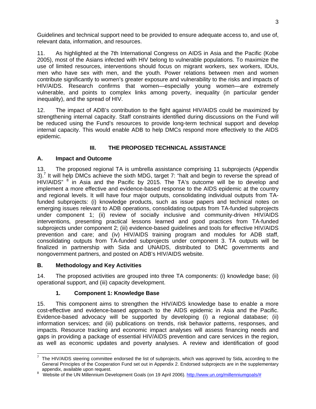Guidelines and technical support need to be provided to ensure adequate access to, and use of, relevant data, information, and resources.

11. As highlighted at the 7th International Congress on AIDS in Asia and the Pacific (Kobe 2005), most of the Asians infected with HIV belong to vulnerable populations. To maximize the use of limited resources, interventions should focus on migrant workers, sex workers, IDUs, men who have sex with men, and the youth. Power relations between men and women contribute significantly to women's greater exposure and vulnerability to the risks and impacts of HIV/AIDS. Research confirms that women—especially young women—are extremely vulnerable, and points to complex links among poverty, inequality (in particular gender inequality), and the spread of HIV.

12. The impact of ADB's contribution to the fight against HIV/AIDS could be maximized by strengthening internal capacity. Staff constraints identified during discussions on the Fund will be reduced using the Fund's resources to provide long-term technical support and develop internal capacity. This would enable ADB to help DMCs respond more effectively to the AIDS epidemic.

# **III. THE PROPOSED TECHNICAL ASSISTANCE**

### **A. Impact and Outcome**

13. The proposed regional TA is umbrella assistance comprising 11 subprojects (Appendix 3).<sup>7</sup> It will help DMCs achieve the sixth MDG, target 7: "halt and begin to reverse the spread of HIV/AIDS" <sup>8</sup> in Asia and the Pacific by 2015. The TA's outcome will be to develop and implement a more effective and evidence-based response to the AIDS epidemic at the country and regional levels. It will have four major outputs, consolidating individual outputs from TAfunded subprojects: (i) knowledge products, such as issue papers and technical notes on emerging issues relevant to ADB operations, consolidating outputs from TA-funded subprojects under component 1; (ii) review of socially inclusive and community-driven HIV/AIDS interventions*,* presenting practical lessons learned and good practices from TA-funded subprojects under component 2; (iii) evidence-based guidelines and tools for effective HIV/AIDS prevention and care; and (iv) HIV/AIDS training program and modules for ADB staff, consolidating outputs from TA-funded subprojects under component 3. TA outputs will be finalized in partnership with Sida and UNAIDS, distributed to DMC governments and nongovernment partners, and posted on ADB's HIV/AIDS website.

# **B. Methodology and Key Activities**

14. The proposed activities are grouped into three TA components: (i) knowledge base; (ii) operational support, and (iii) capacity development.

# **1. Component 1: Knowledge Base**

15. This component aims to strengthen the HIV/AIDS knowledge base to enable a more cost-effective and evidence-based approach to the AIDS epidemic in Asia and the Pacific. Evidence-based advocacy will be supported by developing (i) a regional database; (ii) information services; and (iii) publications on trends, risk behavior patterns, responses, and impacts. Resource tracking and economic impact analyses will assess financing needs and gaps in providing a package of essential HIV/AIDS prevention and care services in the region, as well as economic updates and poverty analyses. A review and identification of good

THE HIV/AIDS steering committee endorsed the list of subprojects, which was approved by Sida, according to the<br>The HIV/AIDS steering committee endorsed the list of subprojects, which was approved by Sida, according to the General Principles of the Cooperation Fund set out in Appendix 2. Endorsed subprojects are in the supplementary appendix, available upon request.

<sup>&</sup>lt;sup>8</sup> Website of the UN Millennium Development Goals (on 19 April 2006). http://www.un.org/millenniumgoals/#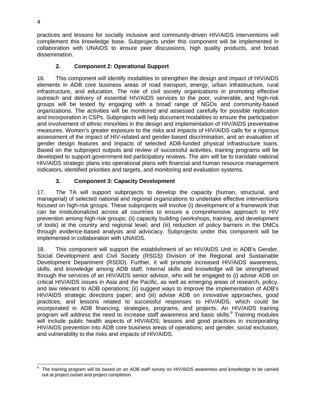practices and lessons for socially inclusive and community-driven HIV/AIDS interventions will complement this knowledge base. Subprojects under this component will be implemented in collaboration with UNAIDS to ensure peer discussions, high quality products, and broad dissemination.

# **2. Component 2: Operational Support**

16. This component will identify modalities to strengthen the design and impact of HIV/AIDS elements in ADB core business areas of road transport, energy, urban infrastructure, rural infrastructure, and education. The role of civil society organizations in promoting effective outreach and delivery of essential HIV/AIDS services to the poor, vulnerable, and high-risk groups will be tested by engaging with a broad range of NGOs and community-based organizations. The activities will be monitored and assessed carefully for possible replication and incorporation in CSPs. Subprojects will help document modalities to ensure the participation and involvement of ethnic minorities in the design and implementation of HIV/AIDS preventative measures. Women's greater exposure to the risks and impacts of HIV/AIDS calls for a rigorous assessment of the impact of HIV-related and gender-based discrimination, and an evaluation of gender design features and impacts of selected ADB-funded physical infrastructure loans. Based on the subproject outputs and review of successful activities, training programs will be developed to support government-led participatory reviews. The aim will be to translate national HIV/AIDS strategic plans into operational plans with financial and human resource management indicators, identified priorities and targets, and monitoring and evaluation systems.

# **3. Component 3: Capacity Development**

17. The TA will support subprojects to develop the capacity (human, structural, and managerial) of selected national and regional organizations to undertake effective interventions focused on high-risk groups. These subprojects will involve (i) development of a framework that can be institutionalized across all countries to ensure a comprehensive approach to HIV prevention among high-risk groups; (ii) capacity building (workshops, training, and development of tools) at the country and regional level; and (iii) reduction of policy barriers in the DMCs through evidence-based analysis and advocacy. Subprojects under this component will be implemented in collaboration with UNAIDS.

18. This component will support the establishment of an HIV/AIDS Unit in ADB's Gender, Social Development and Civil Society (RSGS) Division of the Regional and Sustainable Development Department (RSDD). Further, it will promote increased HIV/AIDS awareness, skills, and knowledge among ADB staff. Internal skills and knowledge will be strengthened through the services of an HIV/AIDS senior advisor, who will be engaged to (i) advise ADB on critical HIV/AIDS issues in Asia and the Pacific, as well as emerging areas of research, policy, and law relevant to ADB operations; (ii) suggest ways to improve the implementation of ADB's HIV/AIDS strategic directions paper; and (iii) advise ADB on innovative approaches, good practices, and lessons related to successful responses to HIV/AIDS, which could be incorporated in ADB financing, strategies, programs, and projects. An HIV/AIDS training program will address the need to increase staff awareness and basic skills.<sup>9</sup> Training modules will include public health aspects of HIV/AIDS; lessons and good practices in incorporating HIV/AIDS prevention into ADB core business areas of operations; and gender, social exclusion, and vulnerability to the risks and impacts of HIV/AIDS.

 9 The training program will be based on an ADB staff survey on HIV/AIDS awareness and knowledge to be carried out at project outset and project completion.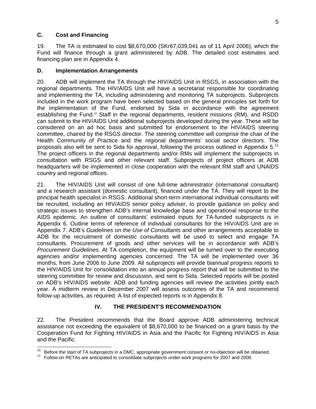#### **C. Cost and Financing**

19. The TA is estimated to cost \$8,670,000 (SKr67,039,041 as of 11 April 2006), which the Fund will finance through a grant administered by ADB. The detailed cost estimates and financing plan are in Appendix 4.

#### **D. Implementation Arrangements**

20. ADB will implement the TA through the HIV/AIDS Unit in RSGS, in association with the regional departments. The HIV/AIDS Unit will have a secretariat responsible for coordinating and implementing the TA, including administering and monitoring TA subprojects. Subprojects included in the work program have been selected based on the general principles set forth for the implementation of the Fund, endorsed by Sida in accordance with the agreement establishing the Fund.<sup>10</sup> Staff in the regional departments, resident missions (RM), and RSDD can submit to the HIV/AIDS Unit additional subprojects developed during the year. These will be considered on an ad hoc basis and submitted for endorsement to the HIV/AIDS steering committee, chaired by the RSGS director. The steering committee will comprise the chair of the Health Community of Practice and the regional departments' social sector directors. The proposals also will be sent to Sida for approval, following the process outlined in Appendix 5.<sup>11</sup> The project officers in the regional departments and/or RMs will implement the subprojects in consultation with RSGS and other relevant staff. Subprojects of project officers at ADB headquarters will be implemented in close cooperation with the relevant RM staff and UNAIDS country and regional offices.

21. The HIV/AIDS Unit will consist of one full-time administrator (international consultant) and a research assistant (domestic consultant), financed under the TA. They will report to the principal health specialist in RSGS. Additional short-term international individual consultants will be recruited, including an HIV/AIDS senior policy adviser, to provide guidance on policy and strategic issues to strengthen ADB's internal knowledge base and operational response to the AIDS epidemic. An outline of consultants' estimated inputs for TA-funded subprojects is in Appendix 6. Outline terms of reference of individual consultants for the HIV/AIDS Unit are in Appendix 7. ADB's *Guidelines on the Use of Consultants* and other arrangements acceptable to ADB for the recruitment of domestic consultants will be used to select and engage TA consultants. Procurement of goods and other services will be in accordance with ADB's *Procurement Guidelines*. At TA completion, the equipment will be turned over to the executing agencies and/or implementing agencies concerned. The TA will be implemented over 36 months, from June 2006 to June 2009. All subprojects will provide biannual progress reports to the HIV/AIDS Unit for consolidation into an annual progress report that will be submitted to the steering committee for review and discussion, and sent to Sida. Selected reports will be posted on ADB's HIV/AIDS website. ADB and funding agencies will review the activities jointly each year. A midterm review in December 2007 will assess outcomes of the TA and recommend follow-up activities, as required. A list of expected reports is in Appendix 8.

# **IV. THE PRESIDENT'S RECOMMENDATION**

22. The President recommends that the Board approve ADB administering technical assistance not exceeding the equivalent of \$8,670,000 to be financed on a grant basis by the Cooperation Fund for Fighting HIV/AIDS in Asia and the Pacific for Fighting HIV/AIDS in Asia and the Pacific.

<sup>&</sup>lt;sup>10</sup> Before the start of TA subprojects in a DMC, appropriate government consent or no-objection will be obtained.

<sup>&</sup>lt;sup>11</sup> Follow-on RETAs are anticipated to consolidate subprojects under work programs for 2007 and 2008.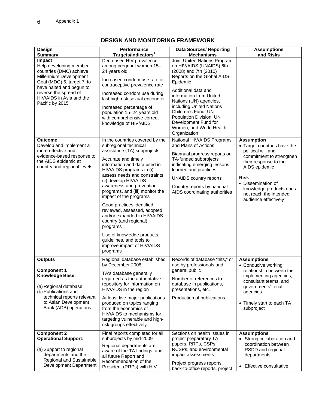| Design                                                                                                                                                                                                                  | Performance                                                                                                                                                                                                                                                                                                                                                                                                                                                                                                                                                           | <b>Data Sources/ Reporting</b>                                                                                                                                                                                                                                                                                                                           | <b>Assumptions</b>                                                                                                                                                                                                                                             |  |  |  |
|-------------------------------------------------------------------------------------------------------------------------------------------------------------------------------------------------------------------------|-----------------------------------------------------------------------------------------------------------------------------------------------------------------------------------------------------------------------------------------------------------------------------------------------------------------------------------------------------------------------------------------------------------------------------------------------------------------------------------------------------------------------------------------------------------------------|----------------------------------------------------------------------------------------------------------------------------------------------------------------------------------------------------------------------------------------------------------------------------------------------------------------------------------------------------------|----------------------------------------------------------------------------------------------------------------------------------------------------------------------------------------------------------------------------------------------------------------|--|--|--|
| <b>Summary</b>                                                                                                                                                                                                          | Targets/Indicators <sup>1</sup>                                                                                                                                                                                                                                                                                                                                                                                                                                                                                                                                       | <b>Mechanisms</b>                                                                                                                                                                                                                                                                                                                                        | and Risks                                                                                                                                                                                                                                                      |  |  |  |
| Impact<br>Help developing member<br>countries (DMC) achieve<br>Millennium Development<br>Goal (MDG) 6, target 7: to<br>have halted and begun to<br>reverse the spread of<br>HIV/AIDS in Asia and the<br>Pacific by 2015 | Decreased HIV prevalence<br>among pregnant women 15-<br>24 years old<br>Increased condom use rate or<br>contraceptive prevalence rate<br>Increased condom use during<br>last high-risk sexual encounter<br>Increased percentage of<br>population 15-24 years old<br>with comprehensive correct<br>knowledge of HIV/AIDS                                                                                                                                                                                                                                               | Joint United Nations Program<br>on HIV/AIDS (UNAIDS) 6th<br>(2008) and 7th (2010)<br>Reports on the Global AIDS<br>Epidemic<br>Additional data and<br>information from United<br>Nations (UN) agencies,<br>including United Nations<br>Children's Fund, UN<br>Population Division, UN<br>Development Fund for<br>Women, and World Health<br>Organization |                                                                                                                                                                                                                                                                |  |  |  |
| <b>Outcome</b><br>Develop and implement a<br>more effective and<br>evidence-based response to<br>the AIDS epidemic at<br>country and regional levels                                                                    | In the countries covered by the<br>subregional technical<br>assistance (TA) subprojects:<br>Accurate and timely<br>information and data used in<br>HIV/AIDS programs to (i)<br>assess needs and constraints,<br>(ii) develop HIV/AIDS<br>awareness and prevention<br>programs, and (iii) monitor the<br>impact of the programs<br>Good practices identified,<br>reviewed, assessed, adopted,<br>and/or expanded in HIV/AIDS<br>country (and regional)<br>programs<br>Use of knowledge products,<br>guidelines, and tools to<br>improve impact of HIV/AIDS<br>programs | National HIV/AIDS Programs<br>and Plans of Actions<br>Biannual progress reports on<br>TA-funded subprojects<br>indicating emerging lessons<br>learned and practices<br><b>UNAIDS country reports</b><br>Country reports by national<br>AIDS coordinating authorities                                                                                     | <b>Assumption</b><br>• Target countries have the<br>political will and<br>commitment to strengthen<br>their response to the<br>AIDS epidemic<br><b>Risk</b><br>• Dissemination of<br>knowledge products does<br>not reach the intended<br>audience effectively |  |  |  |
| <b>Outputs</b>                                                                                                                                                                                                          | Regional database established<br>by December 2008                                                                                                                                                                                                                                                                                                                                                                                                                                                                                                                     | Records of database "hits," or<br>use by professionals and                                                                                                                                                                                                                                                                                               | <b>Assumptions</b><br>• Conducive working                                                                                                                                                                                                                      |  |  |  |
| <b>Component 1</b>                                                                                                                                                                                                      | TA's database generally                                                                                                                                                                                                                                                                                                                                                                                                                                                                                                                                               | general public                                                                                                                                                                                                                                                                                                                                           | relationship between the                                                                                                                                                                                                                                       |  |  |  |

# **DESIGN AND MONITORING FRAMEWORK**

| <b>Component 1</b><br><b>Knowledge Base:</b><br>(a) Regional database<br>(b) Publications and<br>technical reports relevant<br>to Asian Development<br>Bank (ADB) operations | by December 2008<br>TA's database generally<br>regarded as the authoritative<br>repository for information on<br>HIV/AIDS in the region<br>At least five major publications<br>produced on topics ranging<br>from the economics of<br>HIV/AIDS to mechanisms for<br>targeting vulnerable and high-<br>risk groups effectively | use by professionals and<br>general public<br>Number of references to<br>database in publications,<br>presentations, etc.<br>Production of publications | • Conducive working<br>relationship between the<br>implementing agencies,<br>consultant teams, and<br>governments' focal<br>agencies<br>• Timely start to each TA<br>subproject |
|------------------------------------------------------------------------------------------------------------------------------------------------------------------------------|-------------------------------------------------------------------------------------------------------------------------------------------------------------------------------------------------------------------------------------------------------------------------------------------------------------------------------|---------------------------------------------------------------------------------------------------------------------------------------------------------|---------------------------------------------------------------------------------------------------------------------------------------------------------------------------------|
| <b>Component 2</b><br><b>Operational Support:</b><br>(a) Support to regional                                                                                                 | Final reports completed for all<br>subprojects by mid-2009<br>Regional departments are<br>aware of the TA findings, and                                                                                                                                                                                                       | Sections on health issues in<br>project preparatory TA<br>papers, RRPs, CSPs,<br>RCSPs, and environmental                                               | <b>Assumptions</b><br>• Strong collaboration and<br>coordination between<br>RSDD and regional                                                                                   |
| departments and the<br>Regional and Sustainable<br>Development Department                                                                                                    | all future Report and<br>Recommendation of the<br>President (RRPs) with HIV-                                                                                                                                                                                                                                                  | impact assessments<br>Project progress reports,<br>back-to-office reports, project                                                                      | departments<br>• Effective consultative                                                                                                                                         |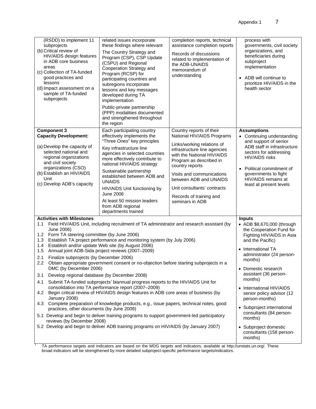| (RSDD) to implement 11<br>subprojects<br>(b) Critical review of<br>HIV/AIDS design features<br>in ADB core business<br>areas<br>(c) Collection of TA-funded<br>good practices and<br>lessons<br>(d) Impact assessment on a<br>sample of TA-funded<br>subprojects                                                                                                                                                                                                                                                                                                                                                                                                                                                                                                                                                                                                                                                      | related issues incorporate<br>these findings where relevant<br>The Country Strategy and<br>Program (CSP), CSP Update<br>(CSPU) and Regional<br>Cooperation Strategy and<br>Program (RCSP) for<br>participating countries and<br>subregions incorporate<br>lessons and key messages<br>developed during TA<br>implementation<br>Public-private partnership<br>(PPP) modalities documented<br>and strengthened throughout<br>the region | completion reports, technical<br>assistance completion reports<br>Records of discussions<br>related to implementation of<br>the ADB-UNAIDS<br>memorandum of<br>understanding                                                                                                                                                                                                                                                                                     | process with<br>governments, civil society<br>organizations, and<br>beneficiaries during<br>subproject<br>implementation<br>• ADB will continue to<br>prioritize HIV/AIDS in the<br>health sector                                                                  |
|-----------------------------------------------------------------------------------------------------------------------------------------------------------------------------------------------------------------------------------------------------------------------------------------------------------------------------------------------------------------------------------------------------------------------------------------------------------------------------------------------------------------------------------------------------------------------------------------------------------------------------------------------------------------------------------------------------------------------------------------------------------------------------------------------------------------------------------------------------------------------------------------------------------------------|---------------------------------------------------------------------------------------------------------------------------------------------------------------------------------------------------------------------------------------------------------------------------------------------------------------------------------------------------------------------------------------------------------------------------------------|------------------------------------------------------------------------------------------------------------------------------------------------------------------------------------------------------------------------------------------------------------------------------------------------------------------------------------------------------------------------------------------------------------------------------------------------------------------|--------------------------------------------------------------------------------------------------------------------------------------------------------------------------------------------------------------------------------------------------------------------|
| <b>Component 3</b><br><b>Capacity Development:</b><br>(a) Develop the capacity of<br>selected national and<br>regional organizations<br>and civil society<br>organizations (CSO)<br>(b) Establish an HIV/AIDS<br>Unit<br>(c) Develop ADB's capacity                                                                                                                                                                                                                                                                                                                                                                                                                                                                                                                                                                                                                                                                   | Each participating country<br>effectively implements the<br>"Three Ones" key principles<br>Key infrastructure line<br>agencies in selected countries<br>more effectively contribute to<br>national HIV/AIDS strategy<br>Sustainable partnership<br>established between ADB and<br><b>UNAIDS</b><br>HIV/AIDS Unit functioning by<br><b>June 2006</b><br>At least 50 mission leaders<br>from ADB regional<br>departments trained        | Country reports of their<br>National HIV/AIDS Programs<br>Links/working relations of<br>infrastructure line agencies<br>with the National HIV/AIDS<br>Program as described in<br>country reports<br>Visits and communications<br>between ADB and UNAIDS<br>Unit consultants' contracts<br>Records of training and<br>seminars in ADB                                                                                                                             | <b>Assumptions</b><br>• Continuing understanding<br>and support of senior<br>ADB staff in infrastructure<br>sectors for addressing<br><b>HIV/AIDS</b> risks<br>• Political commitment of<br>governments to fight<br>HIV/AIDS remains at<br>least at present levels |
| <b>Activities with Milestones</b><br>June 2006)<br>Form TA steering committee (by June 2006)<br>1.2 <sub>1</sub><br>Establish TA project performance and monitoring system (by July 2006)<br>1.3<br>Establish and/or update Web site (by August 2006)<br>1.4<br>1.5<br>Annual joint ADB-Sida project reviews (2007-2009)<br>2.1<br>Finalize subprojects (by December 2006)<br>2.2<br>DMC (by December 2006)<br>Develop regional database (by December 2008)<br>3.1<br>Submit TA-funded subprojects' biannual progress reports to the HIV/AIDS Unit for<br>4.1<br>consolidation into TA performance report (2007-2009)<br>4.2<br>January 2008)<br>4.3<br>practices, other documents (by June 2009)<br>5.1 Develop and begin to deliver training programs to support government-led participatory<br>reviews (by December 2008)<br>5.2 Develop and begin to deliver ADB training programs on HIV/AIDS (by January 2007) | 1.1 Field HIV/AIDS Unit, including recruitment of TA administrator and research assistant (by<br>Obtain appropriate government consent or no-objection before starting subprojects in a<br>Begin critical review of HIV/AIDS design features in ADB core areas of business (by<br>Complete preparation of knowledge products, e.g., issue papers, technical notes, good                                                               | <b>Inputs</b><br>• ADB \$8,670,000 (through<br>the Cooperation Fund for<br>Fighting HIV/AIDS in Asia<br>and the Pacific)<br>• International TA<br>administrator (24 person-<br>months)<br>• Domestic research<br>assistant (36 person-<br>months)<br>• International HIV/AIDS<br>senior policy advisor (12<br>person-months)<br>• Subproject international<br>consultants (84 person-<br>months)<br>• Subproject domestic<br>consultants (158 person-<br>months) |                                                                                                                                                                                                                                                                    |

1 TA performance targets and indicators are based on the MDG targets and indicators, available at http://unstats.un.org/. These broad indicators will be strengthened by more detailed subproject-specific performance targets/indicators.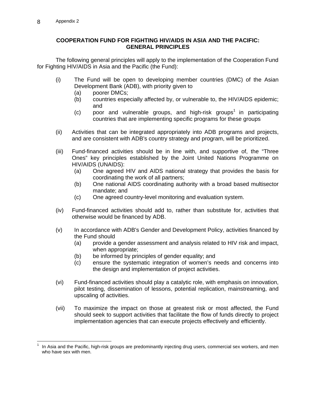#### **COOPERATION FUND FOR FIGHTING HIV/AIDS IN ASIA AND THE PACIFIC: GENERAL PRINCIPLES**

 The following general principles will apply to the implementation of the Cooperation Fund for Fighting HIV/AIDS in Asia and the Pacific (the Fund):

- (i) The Fund will be open to developing member countries (DMC) of the Asian Development Bank (ADB), with priority given to
	- (a) poorer DMCs;
	- (b) countries especially affected by, or vulnerable to, the HIV/AIDS epidemic; and
	- $(c)$  poor and vulnerable groups, and high-risk groups<sup>1</sup> in participating countries that are implementing specific programs for these groups
- (ii) Activities that can be integrated appropriately into ADB programs and projects, and are consistent with ADB's country strategy and program, will be prioritized.
- (iii) Fund-financed activities should be in line with, and supportive of, the "Three Ones" key principles established by the Joint United Nations Programme on HIV/AIDS (UNAIDS):
	- (a) One agreed HIV and AIDS national strategy that provides the basis for coordinating the work of all partners;
	- (b) One national AIDS coordinating authority with a broad based multisector mandate; and
	- (c) One agreed country-level monitoring and evaluation system.
- (iv) Fund-financed activities should add to, rather than substitute for, activities that otherwise would be financed by ADB.
- (v) In accordance with ADB's Gender and Development Policy, activities financed by the Fund should
	- (a) provide a gender assessment and analysis related to HIV risk and impact, when appropriate;
	- (b) be informed by principles of gender equality; and
	- (c) ensure the systematic integration of women's needs and concerns into the design and implementation of project activities.
- (vi) Fund-financed activities should play a catalytic role, with emphasis on innovation, pilot testing, dissemination of lessons, potential replication, mainstreaming, and upscaling of activities.
- (vii) To maximize the impact on those at greatest risk or most affected, the Fund should seek to support activities that facilitate the flow of funds directly to project implementation agencies that can execute projects effectively and efficiently.

 1 In Asia and the Pacific, high-risk groups are predominantly injecting drug users, commercial sex workers, and men who have sex with men.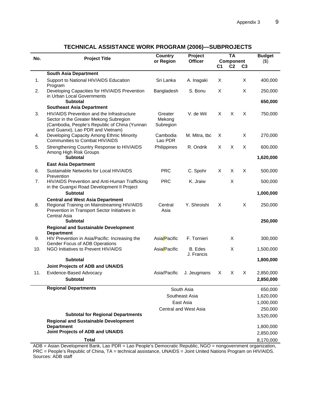| No. | <b>Project Title</b>                                                                                                                                                       | <b>Country</b><br>or Region    | Project<br><b>Officer</b>    | C1 | <b>TA</b><br><b>Component</b><br>C <sub>2</sub> | C3 | <b>Budget</b><br>$($ \$) |
|-----|----------------------------------------------------------------------------------------------------------------------------------------------------------------------------|--------------------------------|------------------------------|----|-------------------------------------------------|----|--------------------------|
|     | <b>South Asia Department</b>                                                                                                                                               |                                |                              |    |                                                 |    |                          |
| 1.  | Support to National HIV/AIDS Education<br>Program                                                                                                                          | Sri Lanka                      | A. Inagaki                   | Χ  |                                                 | X  | 400,000                  |
| 2.  | Developing Capacities for HIV/AIDS Prevention<br>in Urban Local Governments<br><b>Subtotal</b>                                                                             | Bangladesh                     | S. Bonu                      | X  |                                                 | X  | 250,000<br>650,000       |
|     | <b>Southeast Asia Department</b>                                                                                                                                           |                                |                              |    |                                                 |    |                          |
| 3.  | HIV/AIDS Prevention and the Infrastructure<br>Sector in the Greater Mekong Subregion<br>(Cambodia, People's Republic of China (Yunnan<br>and Guanxi), Lao PDR and Vietnam) | Greater<br>Mekong<br>Subregion | V. de Wit                    | X  | X                                               | X  | 750,000                  |
| 4.  | Developing Capacity Among Ethnic Minority<br><b>Communities to Combat HIV/AIDS</b>                                                                                         | Cambodia<br>Lao PDR            | M. Mitra, tbc                | Χ  |                                                 | X  | 270,000                  |
| 5.  | Strengthening Country Response to HIV/AIDS<br>Among High Risk Groups                                                                                                       | Philippines                    | R. Ondrik                    | X  | X                                               | X  | 600,000                  |
|     | <b>Subtotal</b>                                                                                                                                                            |                                |                              |    |                                                 |    | 1,620,000                |
| 6.  | <b>East Asia Department</b><br>Sustainable Networks for Local HIV/AIDS                                                                                                     | <b>PRC</b>                     |                              | X  | X                                               | X  | 500,000                  |
|     | Prevention                                                                                                                                                                 | <b>PRC</b>                     | C. Spohr<br>K. Jraiw         |    | X                                               |    |                          |
| 7.  | HIV/AIDS Prevention and Anti-Human Trafficking<br>in the Guangxi Road Development II Project<br><b>Subtotal</b>                                                            |                                |                              |    |                                                 |    | 500,000<br>1,000,000     |
|     | <b>Central and West Asia Department</b>                                                                                                                                    |                                |                              |    |                                                 |    |                          |
| 8.  | Regional Training on Mainstreaming HIV/AIDS<br>Prevention in Transport Sector Initiatives in<br>Central Asia                                                               | Central<br>Asia                | Y. Shiroishi                 | X  |                                                 | X  | 250,000                  |
|     | <b>Subtotal</b>                                                                                                                                                            |                                |                              |    |                                                 |    | 250,000                  |
|     | <b>Regional and Sustainable Development</b><br><b>Department</b>                                                                                                           |                                |                              |    |                                                 |    |                          |
| 9.  | HIV Prevention in Asia/Pacific: Increasing the<br>Gender Focus of ADB Operations                                                                                           | Asia/Pacific                   | F. Tornieri                  |    | X                                               |    | 300,000                  |
| 10. | NGO Initiatives to Prevent HIV/AIDS                                                                                                                                        | Asia/Pacific                   | B. Edes<br>J. Francis        |    | X                                               |    | 1,500,000                |
|     | <b>Subtotal</b>                                                                                                                                                            |                                |                              |    |                                                 |    | 1,800,000                |
|     | Joint Projects of ADB and UNAIDS                                                                                                                                           |                                |                              |    |                                                 |    |                          |
| 11. | Evidence-Based Advocacy<br><b>Subtotal</b>                                                                                                                                 | Asia/Pacific                   | J. Jeugmans                  | X  | X                                               | X  | 2,850,000<br>2,850,000   |
|     | <b>Regional Departments</b>                                                                                                                                                |                                | South Asia                   |    |                                                 |    | 650,000                  |
|     |                                                                                                                                                                            |                                | Southeast Asia               |    |                                                 |    | 1,620,000                |
|     |                                                                                                                                                                            |                                | East Asia                    |    |                                                 |    | 1,000,000                |
|     |                                                                                                                                                                            |                                | <b>Central and West Asia</b> |    |                                                 |    | 250,000                  |
|     | <b>Subtotal for Regional Departments</b>                                                                                                                                   |                                |                              |    |                                                 |    | 3,520,000                |
|     | <b>Regional and Sustainable Development</b>                                                                                                                                |                                |                              |    |                                                 |    |                          |
|     | <b>Department</b>                                                                                                                                                          |                                |                              |    |                                                 |    | 1,800,000                |
|     | Joint Projects of ADB and UNAIDS                                                                                                                                           |                                |                              |    |                                                 |    | 2,850,000                |
|     | <b>Total</b>                                                                                                                                                               |                                |                              |    |                                                 |    | 8,170,000                |

# **TECHNICAL ASSISTANCE WORK PROGRAM (2006)—SUBPROJECTS**

ADB = Asian Development Bank, Lao PDR = Lao People's Democratic Republic, NGO = nongovernment organization, PRC = People's Republic of China, TA = technical assistance, UNAIDS = Joint United Nations Program on HIV/AIDS. Sources: ADB staff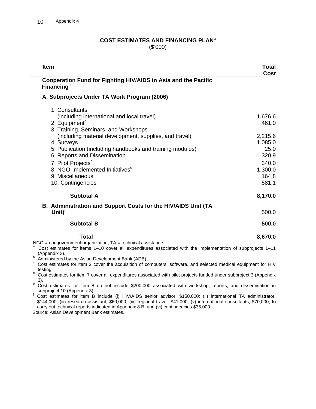#### **COST ESTIMATES AND FINANCING PLAN<sup>a</sup>** (\$'000)

| <b>Item</b>                                                                                                                                                                                 | Total<br>Cost                        |
|---------------------------------------------------------------------------------------------------------------------------------------------------------------------------------------------|--------------------------------------|
| Cooperation Fund for Fighting HIV/AIDS in Asia and the Pacific<br>Financing $b$                                                                                                             |                                      |
| A. Subprojects Under TA Work Program (2006)                                                                                                                                                 |                                      |
| 1. Consultants<br>(including international and local travel)<br>2. Equipment <sup>c</sup><br>3. Training, Seminars, and Workshops<br>(including material development, supplies, and travel) | 1,676.6<br>461.0<br>2,215.6          |
| 4. Surveys<br>5. Publication (including handbooks and training modules)<br>6. Reports and Dissemination<br>7. Pilot Projects <sup>d</sup><br>8. NGO-Implemented Initiatives <sup>e</sup>    | 1,085.0<br>25.0<br>320.9<br>340.0    |
| 9. Miscellaneous<br>10. Contingencies<br>Subtotal A                                                                                                                                         | 1,300.0<br>164.8<br>581.1<br>8,170.0 |
| B. Administration and Support Costs for the HIV/AIDS Unit (TA<br>Unit $)^{\dagger}$                                                                                                         | 500.0                                |
| <b>Subtotal B</b>                                                                                                                                                                           | 500.0                                |
| Total                                                                                                                                                                                       | 8,670.0                              |

 $NGO =$  nongovernment organization,  $TA =$  technical assistance.

a Cost estimates for items 1–10 cover all expenditures associated with the implementation of subprojects 1–11 (Appendix 3).

**b** Administered by the Asian Development Bank (ADB).

<sup>c</sup> Cost estimates for item 2 cover the acquisition of computers, software, and selected medical equipment for HIV testing.

 Cost estimates for item 7 cover all expenditures associated with pilot projects funded under subproject 3 (Appendix  $\frac{3}{e}$ .

Cost estimates for item 8 do not include \$200,000 associated with workshop, reports, and dissemination in subproject 10 (Appendix 3).

subproject 10 (Appendix 3).<br><sup>f</sup> Cost estimates for item B include (i) HIV/AIDS senior advisor, \$150,000; (ii) international TA administrator, \$144,000; (iii) research assistant, \$60,000; (iv) regional travel, \$41,000; (v) international consultants, \$70,000, to carry out technical reports indicated in Appendix 8.B; and (vi) contingencies \$35,000.

Source: Asian Development Bank estimates.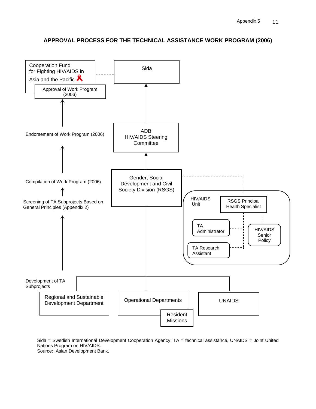

# **APPROVAL PROCESS FOR THE TECHNICAL ASSISTANCE WORK PROGRAM (2006)**

Sida = Swedish International Development Cooperation Agency, TA = technical assistance, UNAIDS = Joint United Nations Program on HIV/AIDS. Source: Asian Development Bank.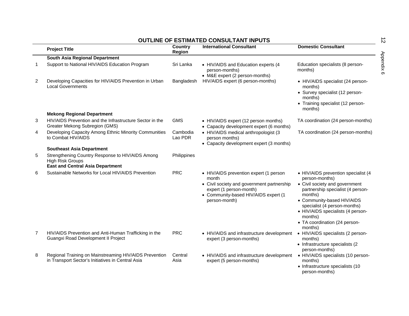|                |                                                                                                                        |                     | <b>OUTLINE OF ESTIMATED CONSULTANT INPUTS</b>                                                                                                                                     |                                                                                                                                                                                                                                                                                                   |
|----------------|------------------------------------------------------------------------------------------------------------------------|---------------------|-----------------------------------------------------------------------------------------------------------------------------------------------------------------------------------|---------------------------------------------------------------------------------------------------------------------------------------------------------------------------------------------------------------------------------------------------------------------------------------------------|
|                | <b>Project Title</b>                                                                                                   | Country<br>Region   | <b>International Consultant</b>                                                                                                                                                   | <b>Domestic Consultant</b>                                                                                                                                                                                                                                                                        |
|                | South Asia Regional Department                                                                                         |                     |                                                                                                                                                                                   |                                                                                                                                                                                                                                                                                                   |
| 1              | Support to National HIV/AIDS Education Program                                                                         | Sri Lanka           | • HIV/AIDS and Education experts (4<br>person-months)<br>• M&E expert (2 person-months)                                                                                           | Education specialists (8 person-<br>months)                                                                                                                                                                                                                                                       |
| $\overline{c}$ | Developing Capacities for HIV/AIDS Prevention in Urban<br><b>Local Governments</b>                                     | Bangladesh          | HIV/AIDS expert (6 person-months)                                                                                                                                                 | • HIV/AIDS specialist (24 person-<br>months)<br>• Survey specialist (12 person-<br>months)<br>• Training specialist (12 person-<br>months)                                                                                                                                                        |
|                | <b>Mekong Regional Department</b>                                                                                      |                     |                                                                                                                                                                                   |                                                                                                                                                                                                                                                                                                   |
| 3              | HIV/AIDS Prevention and the Infrastructure Sector in the<br>Greater Mekong Subregion (GMS)                             | <b>GMS</b>          | • HIV/AIDS expert (12 person months)<br>• Capacity development expert (6 months)                                                                                                  | TA coordination (24 person-months)                                                                                                                                                                                                                                                                |
| 4              | Developing Capacity Among Ethnic Minority Communities<br>to Combat HIV/AIDS                                            | Cambodia<br>Lao PDR | • HIV/AIDS medical anthropologist (3<br>person months)<br>• Capacity development expert (3 months)                                                                                | TA coordination (24 person-months)                                                                                                                                                                                                                                                                |
|                | <b>Southeast Asia Department</b>                                                                                       |                     |                                                                                                                                                                                   |                                                                                                                                                                                                                                                                                                   |
| 5              | Strengthening Country Response to HIV/AIDS Among<br><b>High Risk Groups</b><br><b>East and Central Asia Department</b> | Philippines         |                                                                                                                                                                                   |                                                                                                                                                                                                                                                                                                   |
| 6              | Sustainable Networks for Local HIV/AIDS Prevention                                                                     | <b>PRC</b>          | • HIV/AIDS prevention expert (1 person<br>month<br>• Civil society and government partnership<br>expert (1 person-month)<br>• Community-based HIV/AIDS expert (1<br>person-month) | • HIV/AIDS prevention specialist (4<br>person-months)<br>• Civil society and government<br>partnership specialist (4 person-<br>months)<br>• Community-based HIV/AIDS<br>specialist (4 person-months)<br>• HIV/AIDS specialists (4 person-<br>months)<br>• TA coordination (24 person-<br>months) |
| $\overline{7}$ | HIV/AIDS Prevention and Anti-Human Trafficking in the<br>Guangxi Road Development II Project                           | <b>PRC</b>          | • HIV/AIDS and infrastructure development<br>expert (3 person-months)                                                                                                             | • HIV/AIDS specialists (2 person-<br>months)<br>• Infrastructure specialists (2<br>person-months)                                                                                                                                                                                                 |
| 8              | Regional Training on Mainstreaming HIV/AIDS Prevention<br>in Transport Sector's Initiatives in Central Asia            | Central<br>Asia     | • HIV/AIDS and infrastructure development<br>expert (5 person-months)                                                                                                             | • HIV/AIDS specialists (10 person-<br>months)<br>• Infrastructure specialists (10<br>person-months)                                                                                                                                                                                               |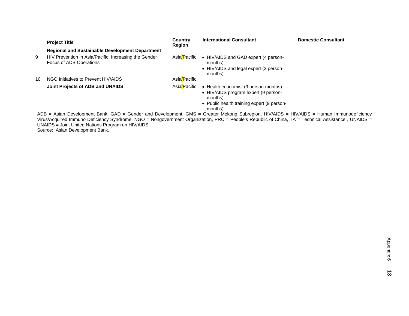|    | <b>Project Title</b>                                                                                                                                                                                                                                                                           | Country<br>Region | <b>International Consultant</b>                                                                                                                  | <b>Domestic Consultant</b> |
|----|------------------------------------------------------------------------------------------------------------------------------------------------------------------------------------------------------------------------------------------------------------------------------------------------|-------------------|--------------------------------------------------------------------------------------------------------------------------------------------------|----------------------------|
|    | <b>Regional and Sustainable Development Department</b>                                                                                                                                                                                                                                         |                   |                                                                                                                                                  |                            |
| 9  | HIV Prevention in Asia/Pacific: Increasing the Gender<br>Focus of ADB Operations                                                                                                                                                                                                               | Asia/Pacific      | • HIV/AIDS and GAD expert (4 person-<br>months)<br>• HIV/AIDS and legal expert (2 person-<br>months)                                             |                            |
| 10 | NGO Initiatives to Prevent HIV/AIDS                                                                                                                                                                                                                                                            | Asia/Pacific      |                                                                                                                                                  |                            |
|    | Joint Projects of ADB and UNAIDS                                                                                                                                                                                                                                                               | Asia/Pacific      | • Health economist (9 person-months)<br>• HIV/AIDS program expert (9 person-<br>months)<br>• Public health training expert (9 person-<br>months) |                            |
|    | ADB = Asian Development Bank, GAD = Gender and Development, GMS = Greater Mekong Subregion, HIV/AIDS = HIV/AIDS = Human Immunodeficiency<br>Virus/Acquired Immuno Deficiency Syndrome, NGO = Nongovernment Organization, PRC = People's Republic of China, TA = Technical Assistance, UNAIDS = |                   |                                                                                                                                                  |                            |

UNAIDS = Joint United Nations Program on HIV/AIDS.

Source: Asian Development Bank.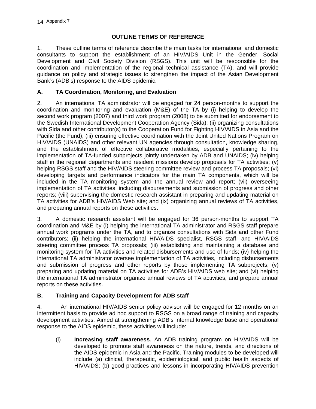# **OUTLINE TERMS OF REFERENCE**

1. These outline terms of reference describe the main tasks for international and domestic consultants to support the establishment of an HIV/AIDS Unit in the Gender, Social Development and Civil Society Division (RSGS). This unit will be responsible for the coordination and implementation of the regional technical assistance (TA), and will provide guidance on policy and strategic issues to strengthen the impact of the Asian Development Bank's (ADB's) response to the AIDS epidemic.

# **A. TA Coordination, Monitoring, and Evaluation**

2. An international TA administrator will be engaged for 24 person-months to support the coordination and monitoring and evaluation (M&E) of the TA by (i) helping to develop the second work program (2007) and third work program (2008) to be submitted for endorsement to the Swedish International Development Cooperation Agency (Sida); (ii) organizing consultations with Sida and other contributor(s) to the Cooperation Fund for Fighting HIV/AIDS in Asia and the Pacific (the Fund); (iii) ensuring effective coordination with the Joint United Nations Program on HIV/AIDS (UNAIDS) and other relevant UN agencies through consultation, knowledge sharing, and the establishment of effective collaborative modalities, especially pertaining to the implementation of TA-funded subprojects jointly undertaken by ADB and UNAIDS; (iv) helping staff in the regional departments and resident missions develop proposals for TA activities; (v) helping RSGS staff and the HIV/AIDS steering committee review and process TA proposals; (vi) developing targets and performance indicators for the main TA components, which will be included in the TA monitoring system and the annual review and report; (vii) overseeing implementation of TA activities, including disbursements and submission of progress and other reports; (viii) supervising the domestic research assistant in preparing and updating material on TA activities for ADB's HIV/AIDS Web site; and (ix) organizing annual reviews of TA activities, and preparing annual reports on these activities.

3. A domestic research assistant will be engaged for 36 person-months to support TA coordination and M&E by (i) helping the international TA administrator and RSGS staff prepare annual work programs under the TA, and to organize consultations with Sida and other Fund contributors; (ii) helping the international HIV/AIDS specialist, RSGS staff, and HIV/AIDS steering committee process TA proposals; (iii) establishing and maintaining a database and monitoring system for TA activities and related disbursements and use of funds; (iv) helping the international TA administrator oversee implementation of TA activities, including disbursements and submission of progress and other reports by those implementing TA subprojects; (v) preparing and updating material on TA activities for ADB's HIV/AIDS web site; and (vi) helping the international TA administrator organize annual reviews of TA activities, and prepare annual reports on these activities.

# **B. Training and Capacity Development for ADB staff**

4. An international HIV/AIDS senior policy advisor will be engaged for 12 months on an intermittent basis to provide ad hoc support to RSGS on a broad range of training and capacity development activities. Aimed at strengthening ADB's internal knowledge base and operational response to the AIDS epidemic, these activities will include:

(i) **Increasing staff awareness**. An ADB training program on HIV/AIDS will be developed to promote staff awareness on the nature, trends, and directions of the AIDS epidemic in Asia and the Pacific. Training modules to be developed will include (a) clinical, therapeutic, epidemiological, and public health aspects of HIV/AIDS; (b) good practices and lessons in incorporating HIV/AIDS prevention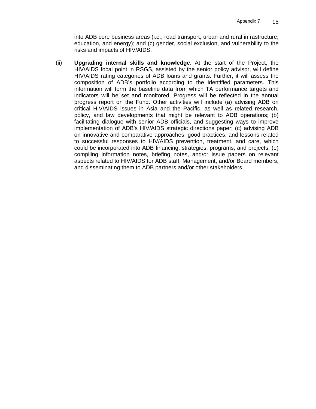into ADB core business areas (i.e., road transport, urban and rural infrastructure, education, and energy); and (c) gender, social exclusion, and vulnerability to the risks and impacts of HIV/AIDS.

(ii) **Upgrading internal skills and knowledge**. At the start of the Project, the HIV/AIDS focal point in RSGS, assisted by the senior policy advisor, will define HIV/AIDS rating categories of ADB loans and grants. Further, it will assess the composition of ADB's portfolio according to the identified parameters. This information will form the baseline data from which TA performance targets and indicators will be set and monitored. Progress will be reflected in the annual progress report on the Fund. Other activities will include (a) advising ADB on critical HIV/AIDS issues in Asia and the Pacific, as well as related research, policy, and law developments that might be relevant to ADB operations; (b) facilitating dialogue with senior ADB officials, and suggesting ways to improve implementation of ADB's HIV/AIDS strategic directions paper; (c) advising ADB on innovative and comparative approaches, good practices, and lessons related to successful responses to HIV/AIDS prevention, treatment, and care, which could be incorporated into ADB financing, strategies, programs, and projects; (e) compiling information notes, briefing notes, and/or issue papers on relevant aspects related to HIV/AIDS for ADB staff, Management, and/or Board members, and disseminating them to ADB partners and/or other stakeholders.